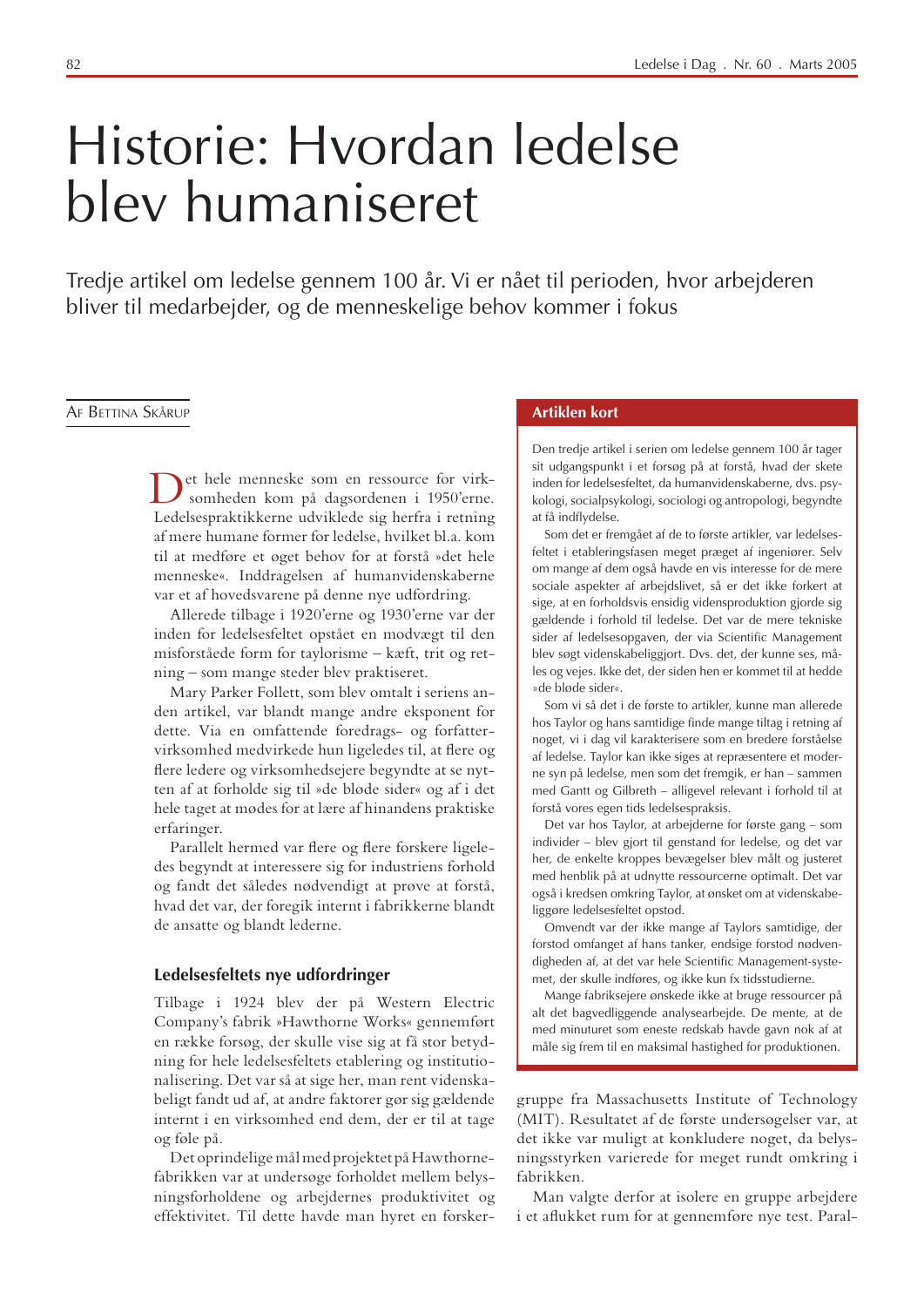# Historie: Hvordan ledelse bley humaniseret

Tredje artikel om ledelse gennem 100 år. Vi er nået til perioden, hvor arbejderen bliver til medarbejder, og de menneskelige behov kommer i fokus

#### AF BETTINA SKÅRUP

et hele menneske som en ressource for virksomheden kom på dagsordenen i 1950'erne. Ledelsespraktikkerne udviklede sig herfra i retning af mere humane former for ledelse, hvilket bl.a. kom til at medføre et øget behov for at forstå »det hele menneske«. Inddragelsen af humanvidenskaberne var et af hovedsvarene på denne nye udfordring.

Allerede tilbage i 1920'erne og 1930'erne var der inden for ledelsesfeltet opstået en modvægt til den misforståede form for taylorisme - kæft, trit og retning – som mange steder blev praktiseret.

Mary Parker Follett, som blev omtalt i seriens anden artikel, var blandt mange andre eksponent for dette. Via en omfattende foredrags- og forfattervirksomhed medvirkede hun ligeledes til, at flere og flere ledere og virksomhedsejere begyndte at se nytten af at forholde sig til »de bløde sider« og af i det hele taget at mødes for at lære af hinandens praktiske erfaringer.

Parallelt hermed var flere og flere forskere ligeledes begyndt at interessere sig for industriens forhold og fandt det således nødvendigt at prøve at forstå, hvad det var, der foregik internt i fabrikkerne blandt de ansatte og blandt lederne.

#### Ledelsesfeltets nye udfordringer

Tilbage i 1924 blev der på Western Electric Company's fabrik »Hawthorne Works« gennemført en række forsøg, der skulle vise sig at få stor betydning for hele ledelsesfeltets etablering og institutionalisering. Det var så at sige her, man rent videnskabeligt fandt ud af, at andre faktorer gør sig gældende internt i en virksomhed end dem, der er til at tage og føle på.

Det oprindelige mål med projektet på Hawthornefabrikken var at undersøge forholdet mellem belysningsforholdene og arbejdernes produktivitet og effektivitet. Til dette havde man hyret en forsker-

#### **Artiklen kort**

Den tredje artikel i serien om ledelse gennem 100 år tager sit udgangspunkt i et forsøg på at forstå, hvad der skete inden for ledelsesfeltet, da humanvidenskaberne, dvs. psykologi, socialpsykologi, sociologi og antropologi, begyndte at få indflydelse.

Som det er fremgået af de to første artikler, var ledelsesfeltet i etableringsfasen meget præget af ingeniører. Selv om mange af dem også havde en vis interesse for de mere sociale aspekter af arbejdslivet, så er det ikke forkert at sige, at en forholdsvis ensidig vidensproduktion gjorde sig gældende i forhold til ledelse. Det var de mere tekniske sider af ledelsesopgaven, der via Scientific Management blev søgt videnskabeliggjort. Dvs. det, der kunne ses, måles og vejes. Ikke det, der siden hen er kommet til at hedde » de bløde sider«.

Som vi så det i de første to artikler, kunne man allerede hos Taylor og hans samtidige finde mange tiltag i retning af noget, vi i dag vil karakterisere som en bredere forståelse af ledelse. Taylor kan ikke siges at repræsentere et moderne syn på ledelse, men som det fremgik, er han - sammen med Gantt og Gilbreth - alligevel relevant i forhold til at forstå vores egen tids ledelsespraksis.

Det var hos Taylor, at arbejderne for første gang – som individer - blev gjort til genstand for ledelse, og det var her, de enkelte kroppes bevægelser blev målt og justeret med henblik på at udnytte ressourcerne optimalt. Det var også i kredsen omkring Taylor, at ønsket om at videnskabeliggøre ledelsesfeltet opstod.

Omvendt var der ikke mange af Taylors samtidige, der forstod omfanget af hans tanker, endsige forstod nødvendigheden af, at det var hele Scientific Management-systemet, der skulle indføres, og ikke kun fx tidsstudierne.

Mange fabriksejere ønskede ikke at bruge ressourcer på alt det bagvedliggende analysearbejde. De mente, at de med minuturet som eneste redskab havde gavn nok af at måle sig frem til en maksimal hastighed for produktionen.

gruppe fra Massachusetts Institute of Technology (MIT). Resultatet af de første undersøgelser var, at det ikke var muligt at konkludere noget, da belysningsstyrken varierede for meget rundt omkring i fabrikken.

Man valgte derfor at isolere en gruppe arbejdere i et aflukket rum for at gennemføre nye test. Paral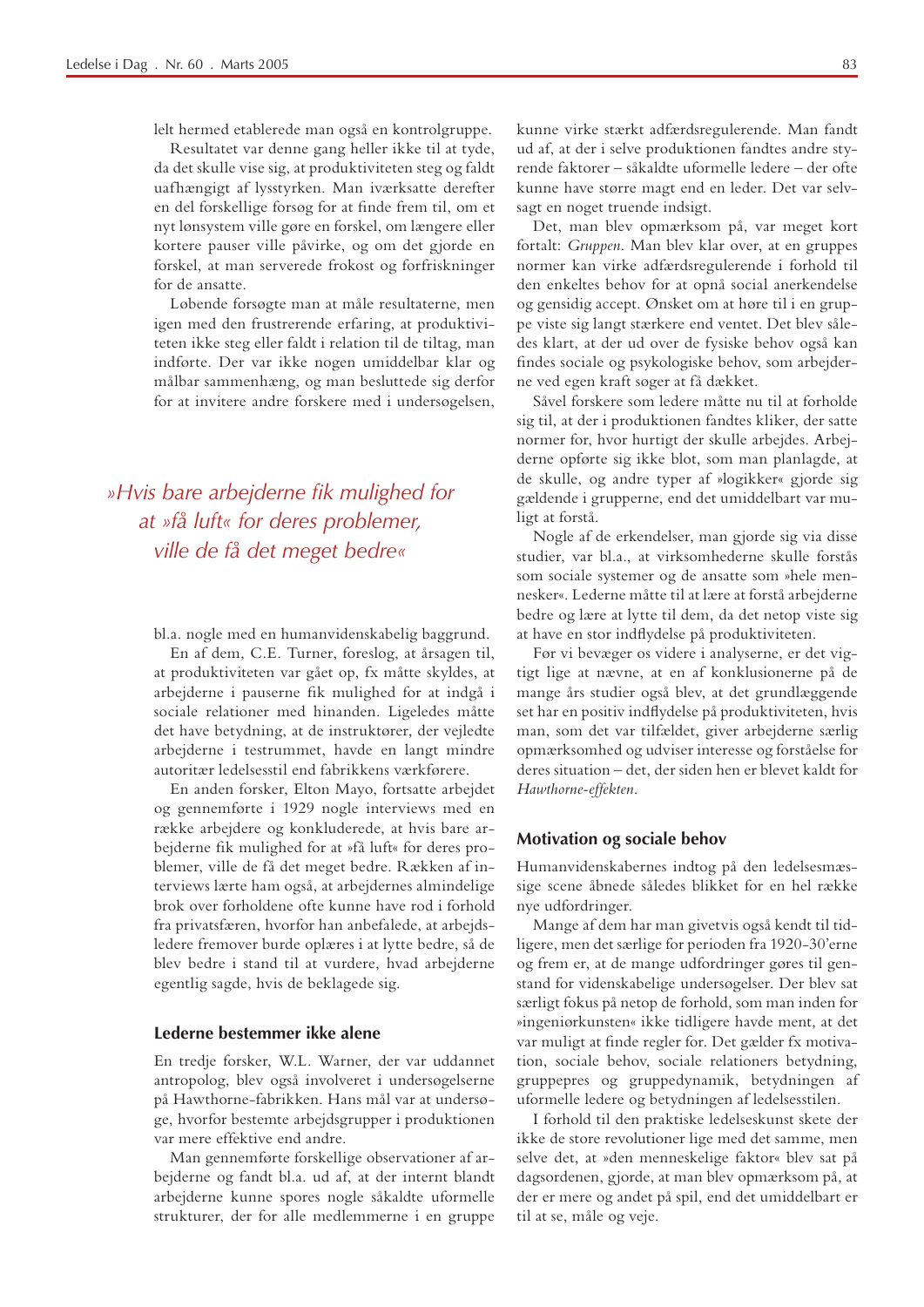lelt hermed etablerede man også en kontrolgruppe.

Resultatet var denne gang heller ikke til at tyde, da det skulle vise sig, at produktiviteten steg og faldt uafhængigt af lysstyrken. Man iværksatte derefter en del forskellige forsøg for at finde frem til, om et nyt lønsystem ville gøre en forskel, om længere eller kortere pauser ville påvirke, og om det gjorde en forskel, at man serverede frokost og forfriskninger for de ansatte

Løbende forsøgte man at måle resultaterne, men igen med den frustrerende erfaring, at produktiviteten ikke steg eller faldt i relation til de tiltag, man indførte. Der var ikke nogen umiddelbar klar og målbar sammenhæng, og man besluttede sig derfor for at invitere andre forskere med i undersøgelsen,

»Hvis bare arbejderne fik mulighed for at »få luft« for deres problemer, ville de få det meget bedre«

bl.a. nogle med en humanvidenskabelig baggrund.

En af dem, C.E. Turner, foreslog, at årsagen til, at produktiviteten var gået op, fx måtte skyldes, at arbejderne i pauserne fik mulighed for at indgå i sociale relationer med hinanden. Ligeledes måtte det have betydning, at de instruktører, der vejledte arbejderne i testrummet, havde en langt mindre autoritær ledelsesstil end fabrikkens værkførere.

En anden forsker, Elton Mayo, fortsatte arbejdet og gennemførte i 1929 nogle interviews med en række arbejdere og konkluderede, at hvis bare arbejderne fik mulighed for at »få luft« for deres problemer, ville de få det meget bedre. Rækken af interviews lærte ham også, at arbejdernes almindelige brok over forholdene ofte kunne have rod i forhold fra privatsfæren, hvorfor han anbefalede, at arbejdsledere fremover burde oplæres i at lytte bedre, så de blev bedre i stand til at vurdere, hvad arbejderne egentlig sagde, hvis de beklagede sig.

#### Lederne bestemmer ikke alene

En tredje forsker, W.L. Warner, der var uddannet antropolog, blev også involveret i undersøgelserne på Hawthorne-fabrikken. Hans mål var at undersøge, hvorfor bestemte arbejdsgrupper i produktionen var mere effektive end andre.

Man gennemførte forskellige observationer af arbejderne og fandt bl.a. ud af, at der internt blandt arbejderne kunne spores nogle såkaldte uformelle strukturer, der for alle medlemmerne i en gruppe

kunne virke stærkt adfærdsregulerende. Man fandt ud af, at der i selve produktionen fandtes andre styrende faktorer - såkaldte uformelle ledere - der ofte kunne have større magt end en leder. Det var selvsagt en noget truende indsigt.

Det, man blev opmærksom på, var meget kort fortalt: Gruppen. Man blev klar over, at en gruppes normer kan virke adfærdsregulerende i forhold til den enkeltes behov for at opnå social anerkendelse og gensidig accept. Ønsket om at høre til i en gruppe viste sig langt stærkere end ventet. Det blev således klart, at der ud over de fysiske behov også kan findes sociale og psykologiske behov, som arbejderne ved egen kraft søger at få dækket.

Såvel forskere som ledere måtte nu til at forholde sig til, at der i produktionen fandtes kliker, der satte normer for, hvor hurtigt der skulle arbejdes. Arbejderne opførte sig ikke blot, som man planlagde, at de skulle, og andre typer af »logikker« gjorde sig gældende i grupperne, end det umiddelbart var muligt at forstå.

Nogle af de erkendelser, man gjorde sig via disse studier, var bl.a., at virksomhederne skulle forstås som sociale systemer og de ansatte som »hele mennesker«. Lederne måtte til at lære at forstå arbejderne bedre og lære at lytte til dem, da det netop viste sig at have en stor indflydelse på produktiviteten.

Før vi bevæger os videre i analyserne, er det vigtigt lige at nævne, at en af konklusionerne på de mange års studier også blev, at det grundlæggende set har en positiv indflydelse på produktiviteten, hvis man, som det var tilfældet, giver arbejderne særlig opmærksomhed og udviser interesse og forståelse for deres situation - det, der siden hen er blevet kaldt for Hawthorne-effekten.

#### Motivation og sociale behov

Humanvidenskabernes indtog på den ledelsesmæssige scene åbnede således blikket for en hel række nye udfordringer.

Mange af dem har man givetvis også kendt til tidligere, men det særlige for perioden fra 1920-30'erne og frem er, at de mange udfordringer gøres til genstand for videnskabelige undersøgelser. Der blev sat særligt fokus på netop de forhold, som man inden for »ingeniørkunsten« ikke tidligere havde ment, at det var muligt at finde regler for. Det gælder fx motivation, sociale behov, sociale relationers betydning, gruppepres og gruppedynamik, betydningen af uformelle ledere og betydningen af ledelsesstilen.

I forhold til den praktiske ledelseskunst skete der ikke de store revolutioner lige med det samme, men selve det, at »den menneskelige faktor« blev sat på dagsordenen, gjorde, at man blev opmærksom på, at der er mere og andet på spil, end det umiddelbart er til at se, måle og veje.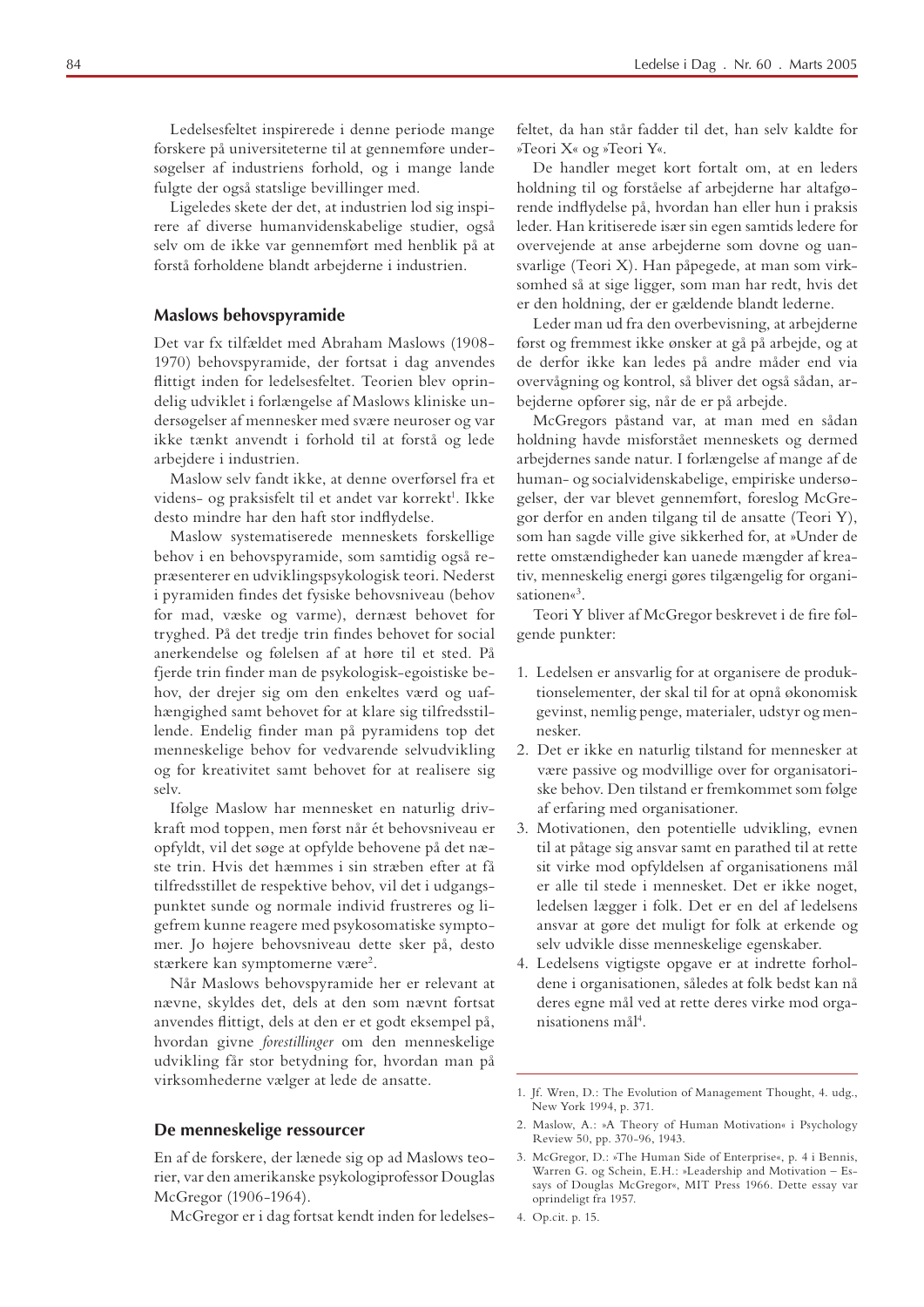Ledelsesfeltet inspirerede i denne periode mange forskere på universiteterne til at gennemføre undersøgelser af industriens forhold, og i mange lande fulgte der også statslige bevillinger med.

Ligeledes skete der det, at industrien lod sig inspirere af diverse humanvidenskabelige studier, også selv om de ikke var gennemført med henblik på at forstå forholdene blandt arbejderne i industrien.

#### **Maslows behovspyramide**

Det var fx tilfældet med Abraham Maslows (1908-1970) behovspyramide, der fortsat i dag anvendes flittigt inden for ledelsesfeltet. Teorien blev oprindelig udviklet i forlængelse af Maslows kliniske undersøgelser af mennesker med svære neuroser og var ikke tænkt anvendt i forhold til at forstå og lede arbeidere i industrien.

Maslow selv fandt ikke, at denne overførsel fra et videns- og praksisfelt til et andet var korrekt<sup>1</sup>. Ikke desto mindre har den haft stor indflydelse.

Maslow systematiserede menneskets forskellige behov i en behovspyramide, som samtidig også repræsenterer en udviklingspsykologisk teori. Nederst i pyramiden findes det fysiske behovsniveau (behov for mad, væske og varme), dernæst behovet for tryghed. På det tredje trin findes behovet for social anerkendelse og følelsen af at høre til et sted. På fjerde trin finder man de psykologisk-egoistiske behov, der drejer sig om den enkeltes værd og uafhængighed samt behovet for at klare sig tilfredsstillende. Endelig finder man på pyramidens top det menneskelige behov for vedvarende selvudvikling og for kreativitet samt behovet for at realisere sig selv.

Ifølge Maslow har mennesket en naturlig drivkraft mod toppen, men først når ét behovsniveau er opfyldt, vil det søge at opfylde behovene på det næste trin. Hvis det hæmmes i sin stræben efter at få tilfredsstillet de respektive behov, vil det i udgangspunktet sunde og normale individ frustreres og ligefrem kunne reagere med psykosomatiske symptomer. Jo højere behovsniveau dette sker på, desto stærkere kan symptomerne være<sup>2</sup>.

Når Maslows behovspyramide her er relevant at nævne, skyldes det, dels at den som nævnt fortsat anvendes flittigt, dels at den er et godt eksempel på, hvordan givne forestillinger om den menneskelige udvikling får stor betydning for, hvordan man på virksomhederne vælger at lede de ansatte.

#### De menneskelige ressourcer

En af de forskere, der lænede sig op ad Maslows teorier, var den amerikanske psykologiprofessor Douglas McGregor (1906-1964).

McGregor er i dag fortsat kendt inden for ledelses-

feltet, da han står fadder til det, han selv kaldte for »Teori X« og »Teori Y«.

De handler meget kort fortalt om, at en leders holdning til og forståelse af arbejderne har altafgørende indflydelse på, hvordan han eller hun i praksis leder. Han kritiserede især sin egen samtids ledere for overvejende at anse arbejderne som dovne og uansvarlige (Teori X). Han påpegede, at man som virksomhed så at sige ligger, som man har redt, hvis det er den holdning, der er gældende blandt lederne.

Leder man ud fra den overbevisning, at arbejderne først og fremmest ikke ønsker at gå på arbejde, og at de derfor ikke kan ledes på andre måder end via overvågning og kontrol, så bliver det også sådan, arbejderne opfører sig, når de er på arbejde.

McGregors påstand var, at man med en sådan holdning havde misforstået menneskets og dermed arbejdernes sande natur. I forlængelse af mange af de human- og socialvidenskabelige, empiriske undersøgelser, der var blevet gennemført, foreslog McGregor derfor en anden tilgang til de ansatte (Teori Y), som han sagde ville give sikkerhed for, at »Under de rette omstændigheder kan uanede mængder af kreativ, menneskelig energi gøres tilgængelig for organisationen« $3$ .

Teori Y bliver af McGregor beskrevet i de fire følgende punkter:

- 1. Ledelsen er ansvarlig for at organisere de produktionselementer, der skal til for at opnå økonomisk gevinst, nemlig penge, materialer, udstyr og mennesker
- 2. Det er ikke en naturlig tilstand for mennesker at være passive og modvillige over for organisatoriske behov. Den tilstand er fremkommet som følge af erfaring med organisationer.
- 3. Motivationen, den potentielle udvikling, evnen til at påtage sig ansvar samt en parathed til at rette sit virke mod opfyldelsen af organisationens mål er alle til stede i mennesket. Det er ikke noget, ledelsen lægger i folk. Det er en del af ledelsens ansvar at gøre det muligt for folk at erkende og selv udvikle disse menneskelige egenskaber.
- 4. Ledelsens vigtigste opgave er at indrette forholdene i organisationen, således at folk bedst kan nå deres egne mål ved at rette deres virke mod organisationens mål<sup>4</sup>.

4. Op.cit. p. 15.

<sup>1.</sup> Jf. Wren, D.: The Evolution of Management Thought, 4. udg., New York 1994, p. 371.

<sup>2.</sup> Maslow, A.: »A Theory of Human Motivation« i Psychology Review 50, pp. 370-96, 1943.

<sup>3.</sup> McGregor, D.: »The Human Side of Enterprise«, p. 4 i Bennis, Warren G. og Schein, E.H.: »Leadership and Motivation - Essays of Douglas McGregor«, MIT Press 1966. Dette essay var oprindeligt fra 1957.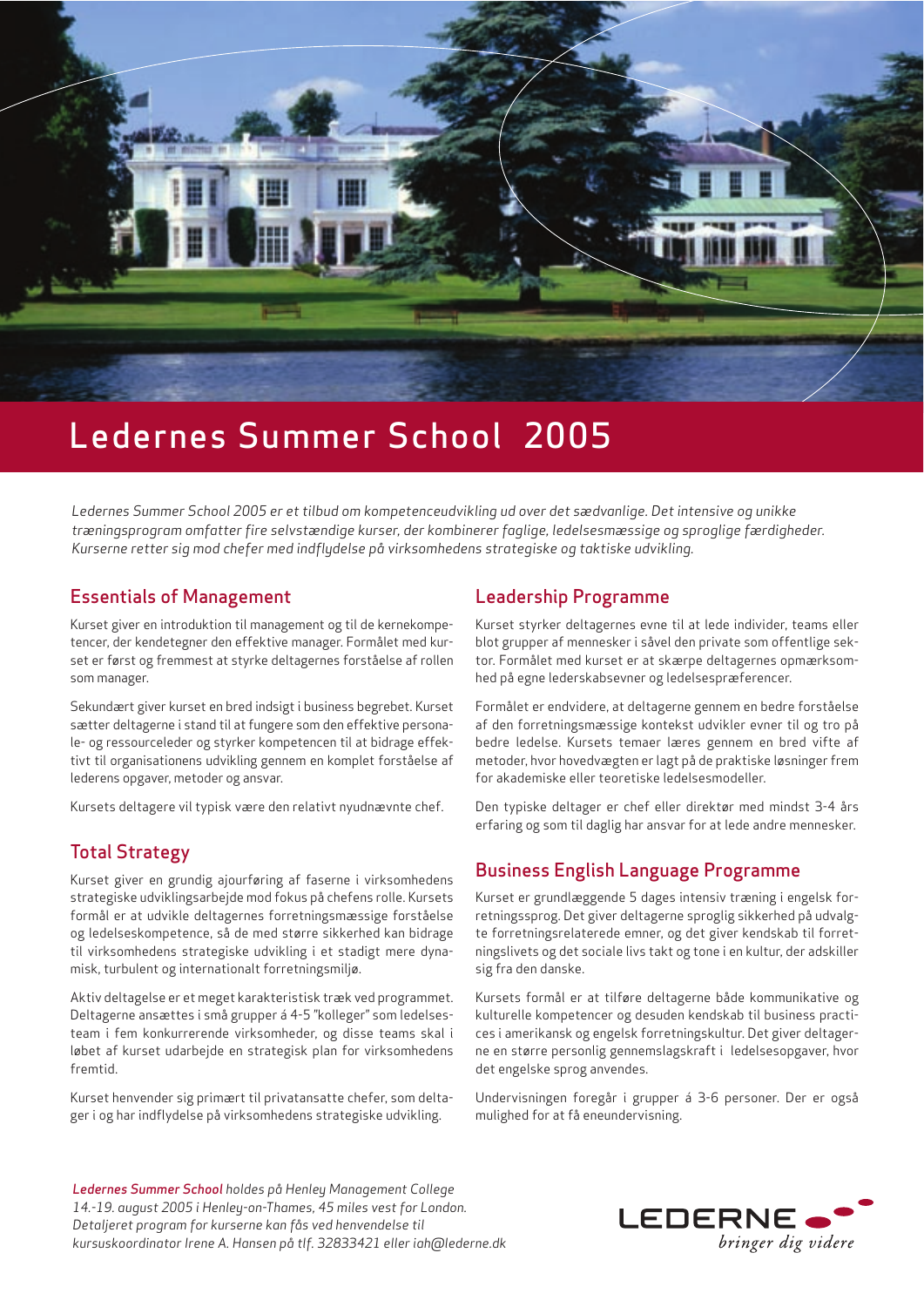

# Ledernes Summer School 2005

Ledernes Summer School 2005 er et tilbud om kompetenceudvikling ud over det sædvanlige. Det intensive og unikke træningsprogram omfatter fire selvstændige kurser, der kombinerer faglige, ledelsesmæssige og sproglige færdigheder. Kurserne retter sig mod chefer med indflydelse på virksomhedens strategiske og taktiske udvikling.

## **Essentials of Management**

Kurset giver en introduktion til management og til de kernekompetencer, der kendetegner den effektive manager. Formålet med kurset er først og fremmest at styrke deltagernes forståelse af rollen som manager.

Sekundært giver kurset en bred indsigt i business begrebet. Kurset sætter deltagerne i stand til at fungere som den effektive personale- og ressourceleder og styrker kompetencen til at bidrage effektivt til organisationens udvikling gennem en komplet forståelse af lederens opgaver, metoder og ansvar.

Kursets deltagere vil typisk være den relativt nyudnævnte chef.

### **Total Strategy**

Kurset giver en grundig ajourføring af faserne i virksomhedens strategiske udviklingsarbejde mod fokus på chefens rolle. Kursets formål er at udvikle deltagernes forretningsmæssige forståelse og ledelseskompetence, så de med større sikkerhed kan bidrage til virksomhedens strategiske udvikling i et stadigt mere dynamisk, turbulent og internationalt forretningsmiljø.

Aktiv deltagelse er et meget karakteristisk træk ved programmet. Deltagerne ansættes i små grupper á 4-5 "kolleger" som ledelsesteam i fem konkurrerende virksomheder, og disse teams skal i løbet af kurset udarbejde en strategisk plan for virksomhedens fremtid.

Kurset henvender sig primært til privatansatte chefer, som deltager i og har indflydelse på virksomhedens strategiske udvikling.

## **Leadership Programme**

Kurset styrker deltagernes evne til at lede individer, teams eller blot grupper af mennesker i såvel den private som offentlige sektor. Formålet med kurset er at skærpe deltagernes opmærksomhed på egne lederskabsevner og ledelsespræferencer.

Formålet er endvidere, at deltagerne gennem en bedre forståelse af den forretningsmæssige kontekst udvikler evner til og tro på bedre ledelse. Kursets temaer læres gennem en bred vifte af metoder, hvor hovedvægten er lagt på de praktiske løsninger frem for akademiske eller teoretiske ledelsesmodeller.

Den typiske deltager er chef eller direktør med mindst 3-4 års erfaring og som til daglig har ansvar for at lede andre mennesker.

# **Business English Language Programme**

Kurset er grundlæggende 5 dages intensiv træning i engelsk forretningssprog. Det giver deltagerne sproglig sikkerhed på udvalgte forretningsrelaterede emner, og det giver kendskab til forretningslivets og det sociale livs takt og tone i en kultur, der adskiller sig fra den danske.

Kursets formål er at tilføre deltagerne både kommunikative og kulturelle kompetencer og desuden kendskab til business practices i amerikansk og engelsk forretningskultur. Det giver deltagerne en større personlig gennemslagskraft i ledelsesopgaver, hvor det engelske sprog anvendes.

Undervisningen foregår i grupper á 3-6 personer. Der er også mulighed for at få eneundervisning.

Ledernes Summer School holdes på Henley Management College 14.-19. august 2005 i Henley-on-Thames, 45 miles vest for London. Detaljeret program for kurserne kan fås ved henvendelse til kursuskoordinator Irene A. Hansen på tlf. 32833421 eller iah@lederne.dk

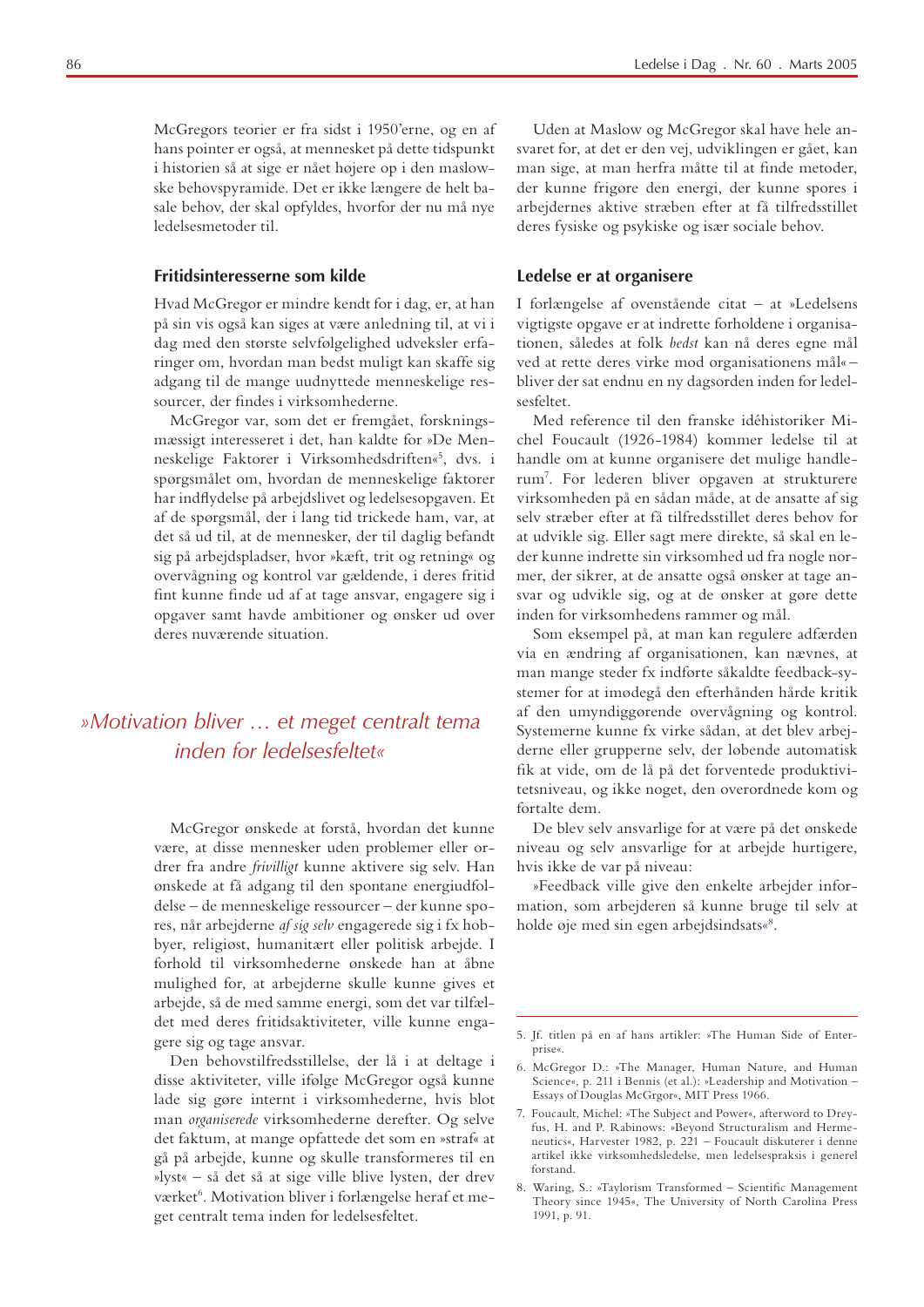McGregors teorier er fra sidst i 1950'erne, og en af hans pointer er også, at mennesket på dette tidspunkt i historien så at sige er nået højere op i den maslowske behovspyramide. Det er ikke længere de helt basale behov, der skal opfyldes, hvorfor der nu må nye ledelsesmetoder til.

#### Fritidsinteresserne som kilde

Hvad McGregor er mindre kendt for i dag, er, at han på sin vis også kan siges at være anledning til, at vi i dag med den største selvfølgelighed udveksler erfaringer om, hvordan man bedst muligt kan skaffe sig adgang til de mange uudnyttede menneskelige ressourcer, der findes i virksomhederne.

McGregor var, som det er fremgået, forskningsmæssigt interesseret i det, han kaldte for »De Menneskelige Faktorer i Virksomhedsdriften«<sup>5</sup>, dvs. i spørgsmålet om, hvordan de menneskelige faktorer har indflydelse på arbejdslivet og ledelsesopgaven. Et af de spørgsmål, der i lang tid trickede ham, var, at det så ud til, at de mennesker, der til daglig befandt sig på arbejdspladser, hvor »kæft, trit og retning« og overvågning og kontrol var gældende, i deres fritid fint kunne finde ud af at tage ansvar, engagere sig i opgaver samt havde ambitioner og ønsker ud over deres nuværende situation.

# »Motivation bliver ... et meget centralt tema inden for ledelsesfeltet«

McGregor ønskede at forstå, hvordan det kunne være, at disse mennesker uden problemer eller ordrer fra andre frivilligt kunne aktivere sig selv. Han ønskede at få adgang til den spontane energiudfoldelse - de menneskelige ressourcer - der kunne spores, når arbejderne af sig selv engagerede sig i fx hobbyer, religiøst, humanitært eller politisk arbejde. I forhold til virksomhederne ønskede han at åbne mulighed for, at arbejderne skulle kunne gives et arbejde, så de med samme energi, som det var tilfældet med deres fritidsaktiviteter, ville kunne engagere sig og tage ansvar.

Den behovstilfredsstillelse, der lå i at deltage i disse aktiviteter, ville ifølge McGregor også kunne lade sig gøre internt i virksomhederne, hvis blot man organiserede virksomhederne derefter. Og selve det faktum, at mange opfattede det som en »straf« at gå på arbejde, kunne og skulle transformeres til en »lyst« - så det så at sige ville blive lysten, der drev værket<sup>6</sup>. Motivation bliver i forlængelse heraf et meget centralt tema inden for ledelsesfeltet.

Uden at Maslow og McGregor skal have hele ansvaret for, at det er den vej, udviklingen er gået, kan man sige, at man herfra måtte til at finde metoder, der kunne frigøre den energi, der kunne spores i arbejdernes aktive stræben efter at få tilfredsstillet deres fysiske og psykiske og især sociale behov.

#### Ledelse er at organisere

I forlængelse af ovenstående citat - at »Ledelsens vigtigste opgave er at indrette forholdene i organisationen, således at folk bedst kan nå deres egne mål ved at rette deres virke mod organisationens mål«bliver der sat endnu en ny dagsorden inden for ledelsesfeltet.

Med reference til den franske idéhistoriker Michel Foucault (1926-1984) kommer ledelse til at handle om at kunne organisere det mulige handlerum<sup>7</sup>. For lederen bliver opgaven at strukturere virksomheden på en sådan måde, at de ansatte af sig selv stræber efter at få tilfredsstillet deres behov for at udvikle sig. Eller sagt mere direkte, så skal en leder kunne indrette sin virksomhed ud fra nogle normer, der sikrer, at de ansatte også ønsker at tage ansvar og udvikle sig, og at de ønsker at gøre dette inden for virksomhedens rammer og mål.

Som eksempel på, at man kan regulere adfærden via en ændring af organisationen, kan nævnes, at man mange steder fx indførte såkaldte feedback-systemer for at imødegå den efterhånden hårde kritik af den umyndiggørende overvågning og kontrol. Systemerne kunne fx virke sådan, at det blev arbejderne eller grupperne selv, der løbende automatisk fik at vide, om de lå på det forventede produktivitetsniveau, og ikke noget, den overordnede kom og fortalte dem.

De blev selv ansvarlige for at være på det ønskede niveau og selv ansvarlige for at arbejde hurtigere, hvis ikke de var på niveau:

»Feedback ville give den enkelte arbejder information, som arbejderen så kunne bruge til selv at holde øje med sin egen arbejdsindsats«8.

<sup>5.</sup> Jf. titlen på en af hans artikler: »The Human Side of Enterprise«.

<sup>6.</sup> McGregor D.: »The Manager, Human Nature, and Human Science«, p. 211 i Bennis (et al.): »Leadership and Motivation -Essays of Douglas McGrgor«, MIT Press 1966.

<sup>7.</sup> Foucault, Michel: »The Subject and Power«, afterword to Dreyfus, H. and P. Rabinows: »Beyond Structuralism and Hermeneutics«, Harvester 1982, p. 221 - Foucault diskuterer i denne artikel ikke virksomhedsledelse, men ledelsespraksis i generel forstand

<sup>8.</sup> Waring, S.: »Taylorism Transformed - Scientific Management Theory since 1945«, The University of North Carolina Press 1991, p. 91.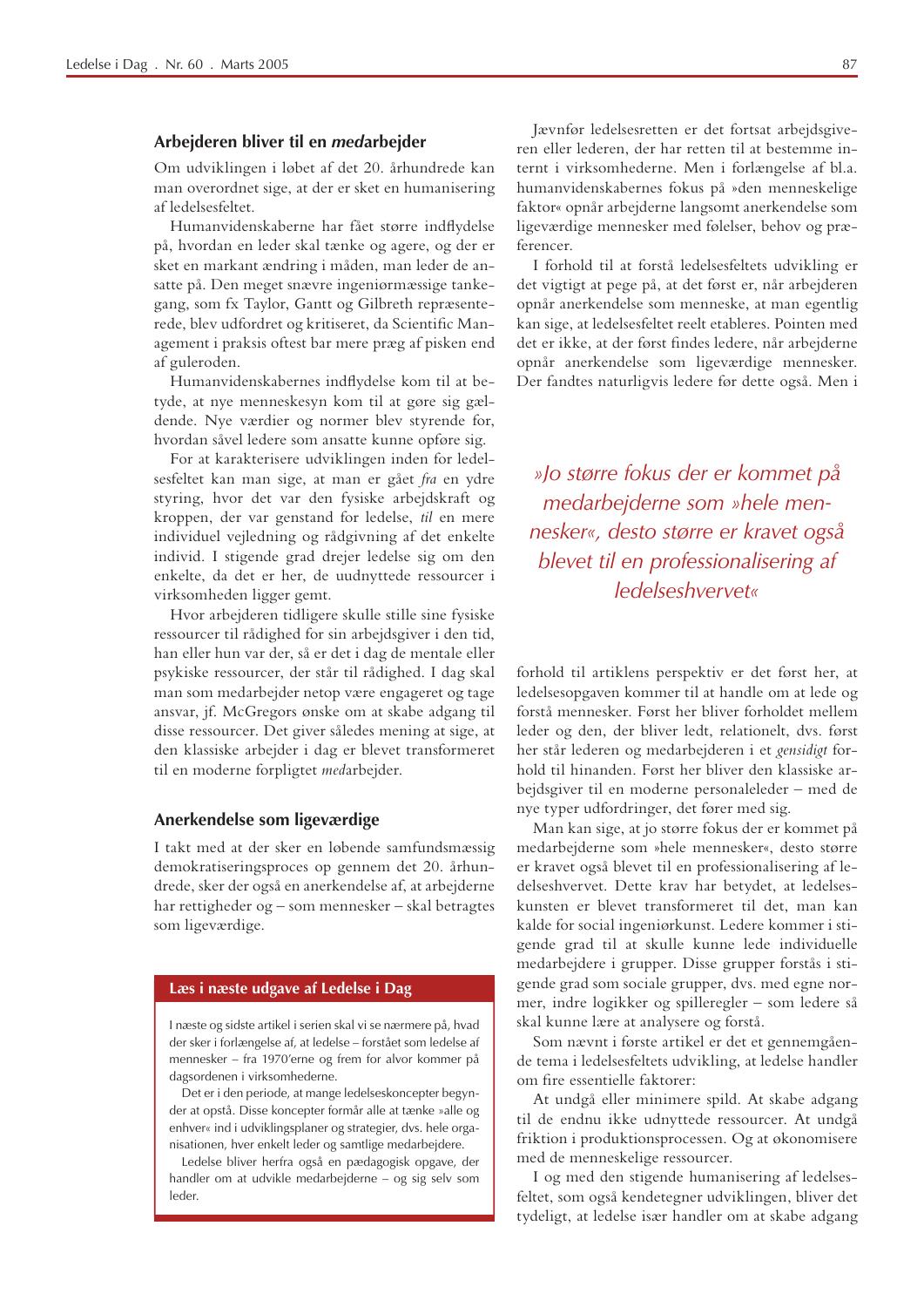#### Arbejderen bliver til en medarbejder

Om udviklingen i løbet af det 20. århundrede kan man overordnet sige, at der er sket en humanisering af ledelsesfeltet.

Humanvidenskaberne har fået større indflydelse på, hvordan en leder skal tænke og agere, og der er sket en markant ændring i måden, man leder de ansatte på. Den meget snævre ingeniørmæssige tankegang, som fx Taylor, Gantt og Gilbreth repræsenterede, blev udfordret og kritiseret, da Scientific Management i praksis oftest bar mere præg af pisken end af guleroden.

Humanvidenskabernes indflydelse kom til at betyde, at nye menneskesyn kom til at gøre sig gældende. Nye værdier og normer blev styrende for, hvordan såvel ledere som ansatte kunne opføre sig.

For at karakterisere udviklingen inden for ledelsesfeltet kan man sige, at man er gået fra en ydre styring, hvor det var den fysiske arbejdskraft og kroppen, der var genstand for ledelse, til en mere individuel vejledning og rådgivning af det enkelte individ. I stigende grad drejer ledelse sig om den enkelte, da det er her, de uudnyttede ressourcer i virksomheden ligger gemt.

Hvor arbejderen tidligere skulle stille sine fysiske ressourcer til rådighed for sin arbejdsgiver i den tid, han eller hun var der, så er det i dag de mentale eller psykiske ressourcer, der står til rådighed. I dag skal man som medarbejder netop være engageret og tage ansvar, jf. McGregors ønske om at skabe adgang til disse ressourcer. Det giver således mening at sige, at den klassiske arbejder i dag er blevet transformeret til en moderne forpligtet medarbejder.

#### Anerkendelse som ligeværdige

I takt med at der sker en løbende samfundsmæssig demokratiseringsproces op gennem det 20. århundrede, sker der også en anerkendelse af, at arbejderne har rettigheder og - som mennesker - skal betragtes som ligeværdige.

#### Læs i næste udgave af Ledelse i Dag

I næste og sidste artikel i serien skal vi se nærmere på, hvad der sker i forlængelse af, at ledelse - forstået som ledelse af mennesker – fra 1970'erne og frem for alvor kommer på dagsordenen i virksomhederne.

Det er i den periode, at mange ledelseskoncepter begynder at opstå. Disse koncepter formår alle at tænke »alle og enhver« ind i udviklingsplaner og strategier, dvs. hele organisationen, hver enkelt leder og samtlige medarbejdere.

Ledelse bliver herfra også en pædagogisk opgave, der handler om at udvikle medarbejderne - og sig selv som leder.

Jævnfør ledelsesretten er det fortsat arbejdsgiveren eller lederen, der har retten til at bestemme internt i virksomhederne. Men i forlængelse af bl.a. humanvidenskabernes fokus på »den menneskelige faktor« opnår arbejderne langsomt anerkendelse som ligeværdige mennesker med følelser, behov og præferencer.

I forhold til at forstå ledelsesfeltets udvikling er det vigtigt at pege på, at det først er, når arbejderen opnår anerkendelse som menneske, at man egentlig kan sige, at ledelsesfeltet reelt etableres. Pointen med det er ikke, at der først findes ledere, når arbejderne opnår anerkendelse som ligeværdige mennesker. Der fandtes naturligvis ledere før dette også. Men i

»Jo større fokus der er kommet på medarbeiderne som »hele mennesker«, desto større er kravet også blevet til en professionalisering af ledelseshvervet«

forhold til artiklens perspektiv er det først her, at ledelsesopgaven kommer til at handle om at lede og forstå mennesker. Først her bliver forholdet mellem leder og den, der bliver ledt, relationelt, dvs. først her står lederen og medarbejderen i et gensidigt forhold til hinanden. Først her bliver den klassiske arbejdsgiver til en moderne personaleleder - med de nye typer udfordringer, det fører med sig.

Man kan sige, at jo større fokus der er kommet på medarbejderne som »hele mennesker«, desto større er kravet også blevet til en professionalisering af ledelseshvervet. Dette krav har betydet, at ledelseskunsten er blevet transformeret til det. man kan kalde for social ingeniørkunst. Ledere kommer i stigende grad til at skulle kunne lede individuelle medarbejdere i grupper. Disse grupper forstås i stigende grad som sociale grupper, dvs. med egne normer, indre logikker og spilleregler - som ledere så skal kunne lære at analysere og forstå.

Som nævnt i første artikel er det et gennemgående tema i ledelsesfeltets udvikling, at ledelse handler om fire essentielle faktorer:

At undgå eller minimere spild. At skabe adgang til de endnu ikke udnyttede ressourcer. At undgå friktion i produktionsprocessen. Og at økonomisere med de menneskelige ressourcer.

I og med den stigende humanisering af ledelsesfeltet, som også kendetegner udviklingen, bliver det tydeligt, at ledelse især handler om at skabe adgang